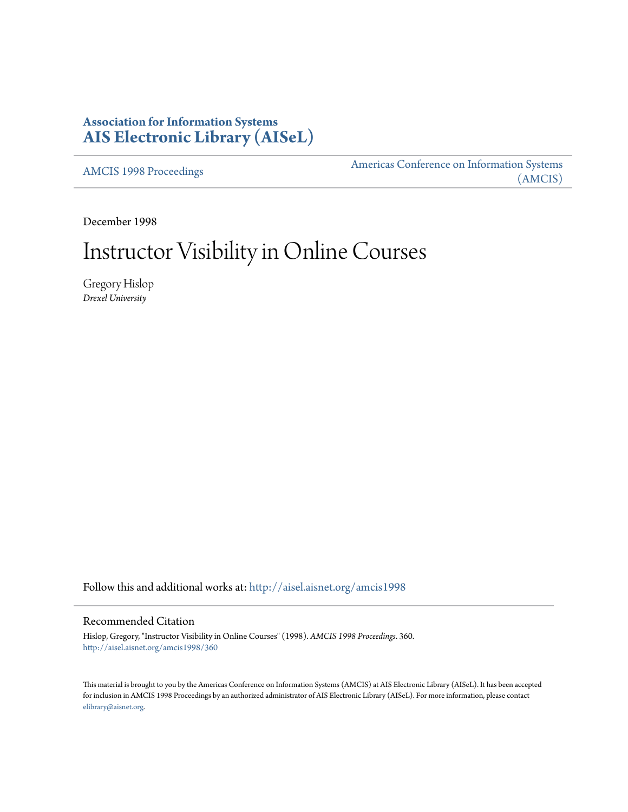# **Association for Information Systems [AIS Electronic Library \(AISeL\)](http://aisel.aisnet.org?utm_source=aisel.aisnet.org%2Famcis1998%2F360&utm_medium=PDF&utm_campaign=PDFCoverPages)**

[AMCIS 1998 Proceedings](http://aisel.aisnet.org/amcis1998?utm_source=aisel.aisnet.org%2Famcis1998%2F360&utm_medium=PDF&utm_campaign=PDFCoverPages)

[Americas Conference on Information Systems](http://aisel.aisnet.org/amcis?utm_source=aisel.aisnet.org%2Famcis1998%2F360&utm_medium=PDF&utm_campaign=PDFCoverPages) [\(AMCIS\)](http://aisel.aisnet.org/amcis?utm_source=aisel.aisnet.org%2Famcis1998%2F360&utm_medium=PDF&utm_campaign=PDFCoverPages)

December 1998

# Instructor Visibility in Online Courses

Gregory Hislop *Drexel University*

Follow this and additional works at: [http://aisel.aisnet.org/amcis1998](http://aisel.aisnet.org/amcis1998?utm_source=aisel.aisnet.org%2Famcis1998%2F360&utm_medium=PDF&utm_campaign=PDFCoverPages)

### Recommended Citation

Hislop, Gregory, "Instructor Visibility in Online Courses" (1998). *AMCIS 1998 Proceedings*. 360. [http://aisel.aisnet.org/amcis1998/360](http://aisel.aisnet.org/amcis1998/360?utm_source=aisel.aisnet.org%2Famcis1998%2F360&utm_medium=PDF&utm_campaign=PDFCoverPages)

This material is brought to you by the Americas Conference on Information Systems (AMCIS) at AIS Electronic Library (AISeL). It has been accepted for inclusion in AMCIS 1998 Proceedings by an authorized administrator of AIS Electronic Library (AISeL). For more information, please contact [elibrary@aisnet.org.](mailto:elibrary@aisnet.org%3E)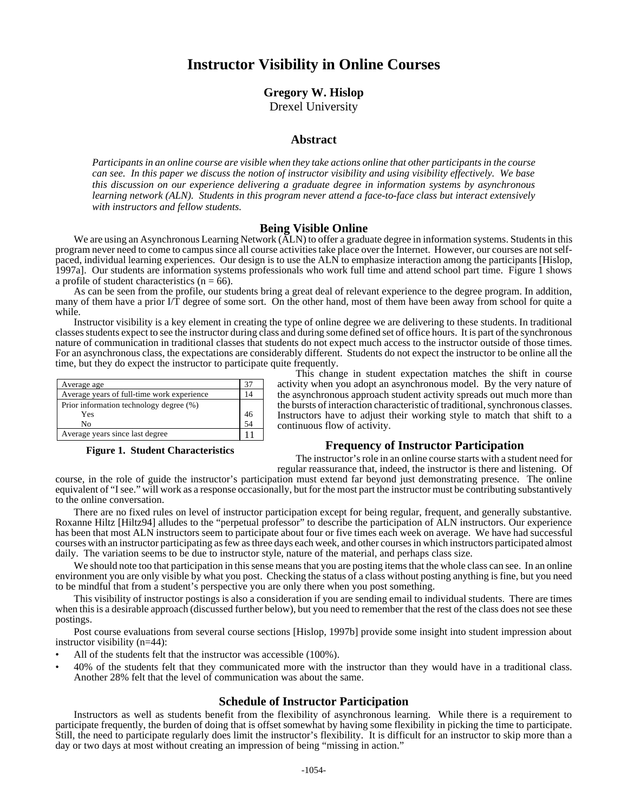## **Instructor Visibility in Online Courses**

## **Gregory W. Hislop** Drexel University

#### **Abstract**

*Participants in an online course are visible when they take actions online that other participants in the course can see. In this paper we discuss the notion of instructor visibility and using visibility effectively. We base this discussion on our experience delivering a graduate degree in information systems by asynchronous learning network (ALN). Students in this program never attend a face-to-face class but interact extensively with instructors and fellow students.*

#### **Being Visible Online**

We are using an Asynchronous Learning Network (ALN) to offer a graduate degree in information systems. Students in this program never need to come to campus since all course activities take place over the Internet. However, our courses are not selfpaced, individual learning experiences. Our design is to use the ALN to emphasize interaction among the participants [Hislop, 1997a]. Our students are information systems professionals who work full time and attend school part time. Figure 1 shows a profile of student characteristics ( $n = 66$ ).

As can be seen from the profile, our students bring a great deal of relevant experience to the degree program. In addition, many of them have a prior I/T degree of some sort. On the other hand, most of them have been away from school for quite a while.

Instructor visibility is a key element in creating the type of online degree we are delivering to these students. In traditional classes students expect to see the instructor during class and during some defined set of office hours. It is part of the synchronous nature of communication in traditional classes that students do not expect much access to the instructor outside of those times. For an asynchronous class, the expectations are considerably different. Students do not expect the instructor to be online all the time, but they do expect the instructor to participate quite frequently.

| Average age                                |    |
|--------------------------------------------|----|
| Average years of full-time work experience |    |
| Prior information technology degree (%)    |    |
| Yes                                        | 46 |
| No                                         | 54 |
| Average years since last degree            |    |

#### **Figure 1. Student Characteristics**

This change in student expectation matches the shift in course activity when you adopt an asynchronous model. By the very nature of the asynchronous approach student activity spreads out much more than the bursts of interaction characteristic of traditional, synchronous classes. Instructors have to adjust their working style to match that shift to a continuous flow of activity.

#### **Frequency of Instructor Participation**

The instructor's role in an online course starts with a student need for regular reassurance that, indeed, the instructor is there and listening. Of

course, in the role of guide the instructor's participation must extend far beyond just demonstrating presence. The online equivalent of "I see." will work as a response occasionally, but for the most part the instructor must be contributing substantively to the online conversation.

There are no fixed rules on level of instructor participation except for being regular, frequent, and generally substantive. Roxanne Hiltz [Hiltz94] alludes to the "perpetual professor" to describe the participation of ALN instructors. Our experience has been that most ALN instructors seem to participate about four or five times each week on average. We have had successful courses with an instructor participating as few as three days each week, and other courses in which instructors participated almost daily. The variation seems to be due to instructor style, nature of the material, and perhaps class size.

We should note too that participation in this sense means that you are posting items that the whole class can see. In an online environment you are only visible by what you post. Checking the status of a class without posting anything is fine, but you need to be mindful that from a student's perspective you are only there when you post something.

This visibility of instructor postings is also a consideration if you are sending email to individual students. There are times when this is a desirable approach (discussed further below), but you need to remember that the rest of the class does not see these postings.

Post course evaluations from several course sections [Hislop, 1997b] provide some insight into student impression about instructor visibility (n=44):

- All of the students felt that the instructor was accessible (100%).
- 40% of the students felt that they communicated more with the instructor than they would have in a traditional class. Another 28% felt that the level of communication was about the same.

#### **Schedule of Instructor Participation**

Instructors as well as students benefit from the flexibility of asynchronous learning. While there is a requirement to participate frequently, the burden of doing that is offset somewhat by having some flexibility in picking the time to participate. Still, the need to participate regularly does limit the instructor's flexibility. It is difficult for an instructor to skip more than a day or two days at most without creating an impression of being "missing in action."